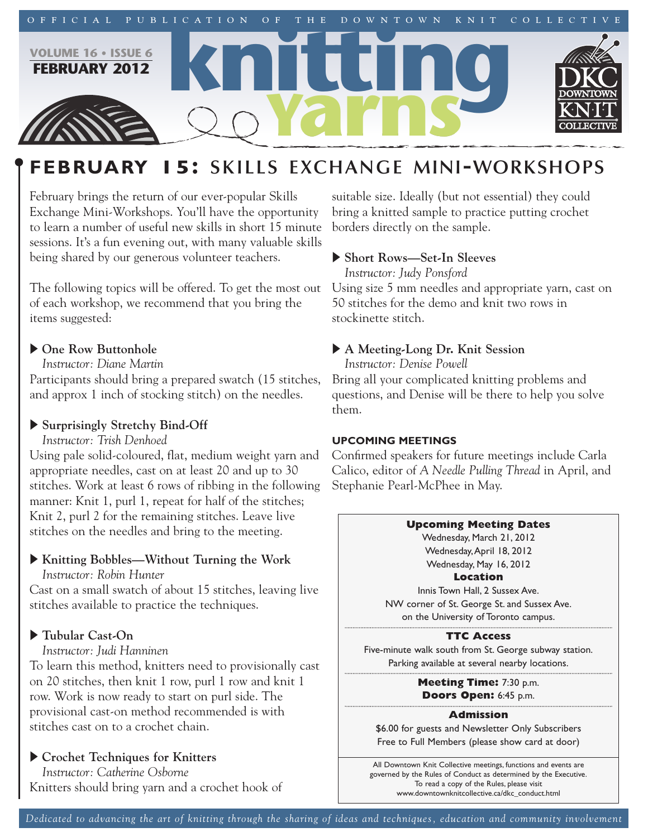

# **FEBRUARY 15: SKILLS EXCHANGE MINI-WORKSHOPS**

February brings the return of our ever-popular Skills Exchange Mini-Workshops. You'll have the opportunity to learn a number of useful new skills in short 15 minute sessions. It's a fun evening out, with many valuable skills being shared by our generous volunteer teachers.

The following topics will be offered. To get the most out of each workshop, we recommend that you bring the items suggested:

# ▶ One Row Buttonhole

*Instructor: Diane Martin*

Participants should bring a prepared swatch (15 stitches, and approx 1 inch of stocking stitch) on the needles.

# u **Surprisingly Stretchy Bind-Off**

*Instructor: Trish Denhoed*

Using pale solid-coloured, flat, medium weight yarn and appropriate needles, cast on at least 20 and up to 30 stitches. Work at least 6 rows of ribbing in the following manner: Knit 1, purl 1, repeat for half of the stitches; Knit 2, purl 2 for the remaining stitches. Leave live stitches on the needles and bring to the meeting.

# u **Knitting Bobbles—Without Turning the Work**

*Instructor: Robin Hunter*

Cast on a small swatch of about 15 stitches, leaving live stitches available to practice the techniques.

# u **Tubular Cast-On**

*Instructor: Judi Hanninen*

To learn this method, knitters need to provisionally cast on 20 stitches, then knit 1 row, purl 1 row and knit 1 row. Work is now ready to start on purl side. The provisional cast-on method recommended is with stitches cast on to a crochet chain.

# u **Crochet Techniques for Knitters**

*Instructor: Catherine Osborne* Knitters should bring yarn and a crochet hook of

suitable size. Ideally (but not essential) they could bring a knitted sample to practice putting crochet borders directly on the sample.

# u **Short Rows—Set-In Sleeves**

*Instructor: Judy Ponsford*

Using size 5 mm needles and appropriate yarn, cast on 50 stitches for the demo and knit two rows in stockinette stitch.

# u **A Meeting-Long Dr. Knit Session**

*Instructor: Denise Powell* Bring all your complicated knitting problems and questions, and Denise will be there to help you solve them.

## **UPCOMING MEETINGS**

Confirmed speakers for future meetings include Carla Calico, editor of *A Needle Pulling Thread* in April, and Stephanie Pearl-McPhee in May.

## **Upcoming Meeting Dates**

Wednesday, March 21, 2012 Wednesday,April 18, 2012 Wednesday, May 16, 2012

**Location** Innis Town Hall, 2 Sussex Ave. NW corner of St. George St. and Sussex Ave. on the University of Toronto campus.

## **TTC Access**

Five-minute walk south from St. George subway station. Parking available at several nearby locations.

> **Meeting Time:** 7:30 p.m. **Doors Open:** 6:45 p.m.

### **Admission**

\$6.00 for guests and Newsletter Only Subscribers Free to Full Members (please show card at door)

All Downtown Knit Collective meetings, functions and events are governed by the Rules of Conduct as determined by the Executive. To read a copy of the Rules, please visit www.downtownknitcollective.ca/dkc\_conduct.html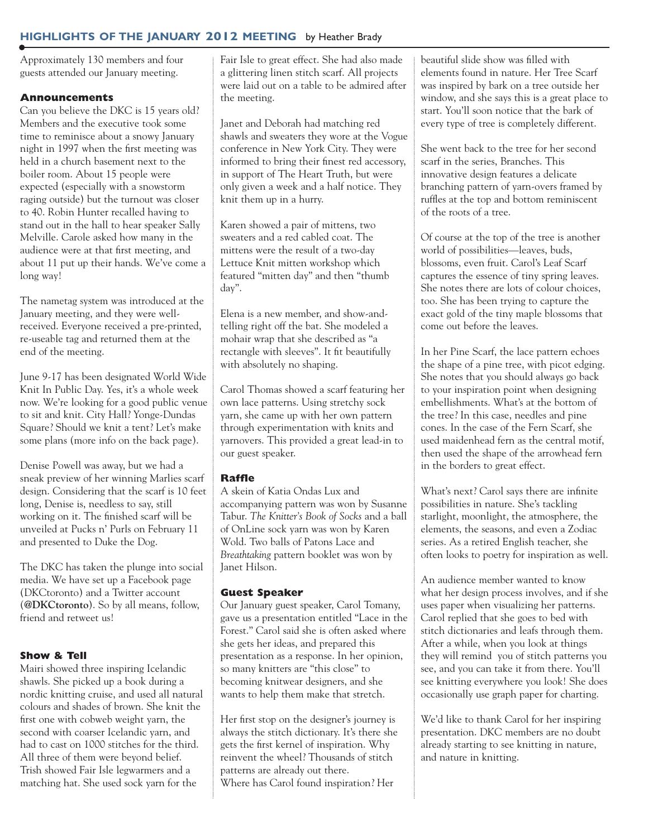# **HIGHLIGHTS OF THE JANUARY 2012 MEETING** by Heather Brady

Approximately 130 members and four guests attended our January meeting.

### **Announcements**

Can you believe the DKC is 15 years old? Members and the executive took some time to reminisce about a snowy January night in 1997 when the first meeting was held in a church basement next to the boiler room. About 15 people were expected (especially with a snowstorm raging outside) but the turnout was closer to 40. Robin Hunter recalled having to stand out in the hall to hear speaker Sally Melville. Carole asked how many in the audience were at that first meeting, and about 11 put up their hands. We've come a long way!

The nametag system was introduced at the January meeting, and they were wellreceived. Everyone received a pre-printed, re-useable tag and returned them at the end of the meeting.

June 9-17 has been designated World Wide Knit In Public Day. Yes, it's a whole week now. We're looking for a good public venue to sit and knit. City Hall? Yonge-Dundas Square? Should we knit a tent? Let's make some plans (more info on the back page).

Denise Powell was away, but we had a sneak preview of her winning Marlies scarf design. Considering that the scarf is 10 feet long, Denise is, needless to say, still working on it. The finished scarf will be unveiled at Pucks n' Purls on February 11 and presented to Duke the Dog.

The DKC has taken the plunge into social media. We have set up a Facebook page (DKCtoronto) and a Twitter account (**@DKCtoronto**). So by all means, follow, friend and retweet us!

## **Show & Tell**

Mairi showed three inspiring Icelandic shawls. She picked up a book during a nordic knitting cruise, and used all natural colours and shades of brown. She knit the first one with cobweb weight yarn, the second with coarser Icelandic yarn, and had to cast on 1000 stitches for the third. All three of them were beyond belief. Trish showed Fair Isle legwarmers and a matching hat. She used sock yarn for the

Fair Isle to great effect. She had also made a glittering linen stitch scarf. All projects were laid out on a table to be admired after the meeting.

Janet and Deborah had matching red shawls and sweaters they wore at the Vogue conference in New York City. They were informed to bring their finest red accessory, in support of The Heart Truth, but were only given a week and a half notice. They knit them up in a hurry.

Karen showed a pair of mittens, two sweaters and a red cabled coat. The mittens were the result of a two-day Lettuce Knit mitten workshop which featured "mitten day" and then "thumb day".

Elena is a new member, and show-andtelling right off the bat. She modeled a mohair wrap that she described as "a rectangle with sleeves". It fit beautifully with absolutely no shaping.

Carol Thomas showed a scarf featuring her own lace patterns. Using stretchy sock yarn, she came up with her own pattern through experimentation with knits and yarnovers. This provided a great lead-in to our guest speaker.

## **Raffle**

A skein of Katia Ondas Lux and accompanying pattern was won by Susanne Tabur. *The Knitter's Book of Socks* and a ball of OnLine sock yarn was won by Karen Wold. Two balls of Patons Lace and *Breathtaking* pattern booklet was won by Janet Hilson.

## **Guest Speaker**

Our January guest speaker, Carol Tomany, gave us a presentation entitled "Lace in the Forest." Carol said she is often asked where she gets her ideas, and prepared this presentation as a response. In her opinion, so many knitters are "this close" to becoming knitwear designers, and she wants to help them make that stretch.

Her first stop on the designer's journey is always the stitch dictionary. It's there she gets the first kernel of inspiration. Why reinvent the wheel? Thousands of stitch patterns are already out there. Where has Carol found inspiration? Her

beautiful slide show was filled with elements found in nature. Her Tree Scarf was inspired by bark on a tree outside her window, and she says this is a great place to start. You'll soon notice that the bark of every type of tree is completely different.

She went back to the tree for her second scarf in the series, Branches. This innovative design features a delicate branching pattern of yarn-overs framed by ruffles at the top and bottom reminiscent of the roots of a tree.

Of course at the top of the tree is another world of possibilities—leaves, buds, blossoms, even fruit. Carol's Leaf Scarf captures the essence of tiny spring leaves. She notes there are lots of colour choices, too. She has been trying to capture the exact gold of the tiny maple blossoms that come out before the leaves.

In her Pine Scarf, the lace pattern echoes the shape of a pine tree, with picot edging. She notes that you should always go back to your inspiration point when designing embellishments. What's at the bottom of the tree? In this case, needles and pine cones. In the case of the Fern Scarf, she used maidenhead fern as the central motif, then used the shape of the arrowhead fern in the borders to great effect.

What's next? Carol says there are infinite possibilities in nature. She's tackling starlight, moonlight, the atmosphere, the elements, the seasons, and even a Zodiac series. As a retired English teacher, she often looks to poetry for inspiration as well.

An audience member wanted to know what her design process involves, and if she uses paper when visualizing her patterns. Carol replied that she goes to bed with stitch dictionaries and leafs through them. After a while, when you look at things they will remind you of stitch patterns you see, and you can take it from there. You'll see knitting everywhere you look! She does occasionally use graph paper for charting.

We'd like to thank Carol for her inspiring presentation. DKC members are no doubt already starting to see knitting in nature, and nature in knitting.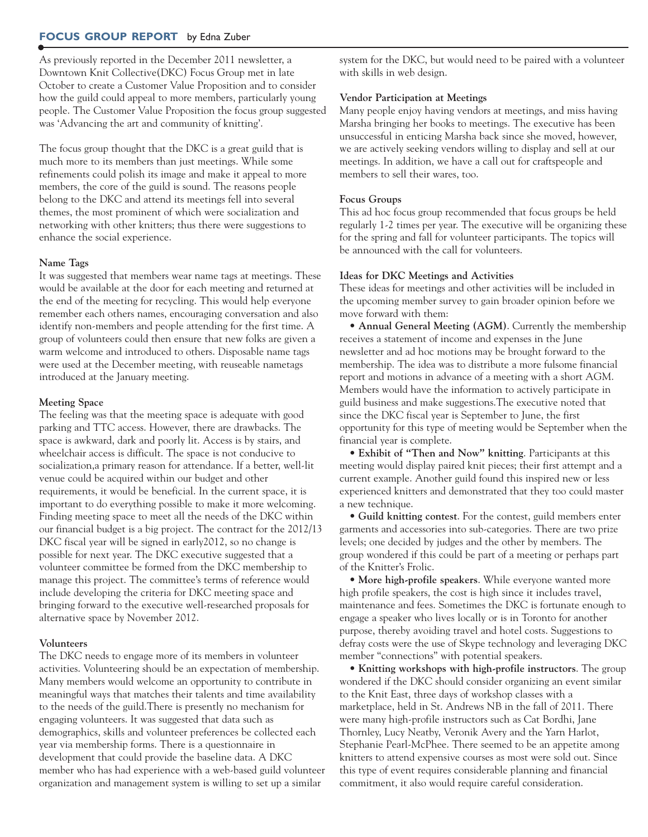### **FOCUS GROUP REPORT** by Edna Zuber

As previously reported in the December 2011 newsletter, a Downtown Knit Collective(DKC) Focus Group met in late October to create a Customer Value Proposition and to consider how the guild could appeal to more members, particularly young people. The Customer Value Proposition the focus group suggested was 'Advancing the art and community of knitting'.

The focus group thought that the DKC is a great guild that is much more to its members than just meetings. While some refinements could polish its image and make it appeal to more members, the core of the guild is sound. The reasons people belong to the DKC and attend its meetings fell into several themes, the most prominent of which were socialization and networking with other knitters; thus there were suggestions to enhance the social experience.

#### **Name Tags**

It was suggested that members wear name tags at meetings. These would be available at the door for each meeting and returned at the end of the meeting for recycling. This would help everyone remember each others names, encouraging conversation and also identify non-members and people attending for the first time. A group of volunteers could then ensure that new folks are given a warm welcome and introduced to others. Disposable name tags were used at the December meeting, with reuseable nametags introduced at the January meeting.

#### **Meeting Space**

The feeling was that the meeting space is adequate with good parking and TTC access. However, there are drawbacks. The space is awkward, dark and poorly lit. Access is by stairs, and wheelchair access is difficult. The space is not conducive to socialization,a primary reason for attendance. If a better, well-lit venue could be acquired within our budget and other requirements, it would be beneficial. In the current space, it is important to do everything possible to make it more welcoming. Finding meeting space to meet all the needs of the DKC within our financial budget is a big project. The contract for the 2012/13 DKC fiscal year will be signed in early2012, so no change is possible for next year. The DKC executive suggested that a volunteer committee be formed from the DKC membership to manage this project. The committee's terms of reference would include developing the criteria for DKC meeting space and bringing forward to the executive well-researched proposals for alternative space by November 2012.

#### **Volunteers**

The DKC needs to engage more of its members in volunteer activities. Volunteering should be an expectation of membership. Many members would welcome an opportunity to contribute in meaningful ways that matches their talents and time availability to the needs of the guild.There is presently no mechanism for engaging volunteers. It was suggested that data such as demographics, skills and volunteer preferences be collected each year via membership forms. There is a questionnaire in development that could provide the baseline data. A DKC member who has had experience with a web-based guild volunteer organization and management system is willing to set up a similar

system for the DKC, but would need to be paired with a volunteer with skills in web design.

#### **Vendor Participation at Meetings**

Many people enjoy having vendors at meetings, and miss having Marsha bringing her books to meetings. The executive has been unsuccessful in enticing Marsha back since she moved, however, we are actively seeking vendors willing to display and sell at our meetings. In addition, we have a call out for craftspeople and members to sell their wares, too.

#### **Focus Groups**

This ad hoc focus group recommended that focus groups be held regularly 1-2 times per year. The executive will be organizing these for the spring and fall for volunteer participants. The topics will be announced with the call for volunteers.

#### **Ideas for DKC Meetings and Activities**

These ideas for meetings and other activities will be included in the upcoming member survey to gain broader opinion before we move forward with them:

• **Annual General Meeting (AGM)**. Currently the membership receives a statement of income and expenses in the June newsletter and ad hoc motions may be brought forward to the membership. The idea was to distribute a more fulsome financial report and motions in advance of a meeting with a short AGM. Members would have the information to actively participate in guild business and make suggestions.The executive noted that since the DKC fiscal year is September to June, the first opportunity for this type of meeting would be September when the financial year is complete.

• **Exhibit of "Then and Now" knitting**. Participants at this meeting would display paired knit pieces; their first attempt and a current example. Another guild found this inspired new or less experienced knitters and demonstrated that they too could master a new technique.

• **Guild knitting contest**. For the contest, guild members enter garments and accessories into sub-categories. There are two prize levels; one decided by judges and the other by members. The group wondered if this could be part of a meeting or perhaps part of the Knitter's Frolic.

• **More high-profile speakers**. While everyone wanted more high profile speakers, the cost is high since it includes travel, maintenance and fees. Sometimes the DKC is fortunate enough to engage a speaker who lives locally or is in Toronto for another purpose, thereby avoiding travel and hotel costs. Suggestions to defray costs were the use of Skype technology and leveraging DKC member "connections" with potential speakers.

• **Knitting workshops with high-profile instructors**. The group wondered if the DKC should consider organizing an event similar to the Knit East, three days of workshop classes with a marketplace, held in St. Andrews NB in the fall of 2011. There were many high-profile instructors such as Cat Bordhi, Jane Thornley, Lucy Neatby, Veronik Avery and the Yarn Harlot, Stephanie Pearl-McPhee. There seemed to be an appetite among knitters to attend expensive courses as most were sold out. Since this type of event requires considerable planning and financial commitment, it also would require careful consideration.